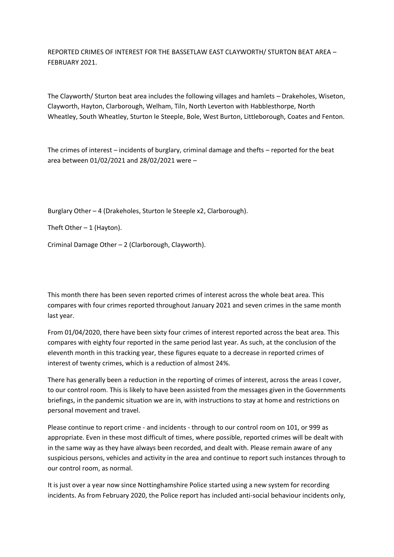REPORTED CRIMES OF INTEREST FOR THE BASSETLAW EAST CLAYWORTH/ STURTON BEAT AREA – FEBRUARY 2021.

The Clayworth/ Sturton beat area includes the following villages and hamlets – Drakeholes, Wiseton, Clayworth, Hayton, Clarborough, Welham, Tiln, North Leverton with Habblesthorpe, North Wheatley, South Wheatley, Sturton le Steeple, Bole, West Burton, Littleborough, Coates and Fenton.

The crimes of interest – incidents of burglary, criminal damage and thefts – reported for the beat area between 01/02/2021 and 28/02/2021 were –

Burglary Other – 4 (Drakeholes, Sturton le Steeple x2, Clarborough).

Theft Other  $-1$  (Hayton).

Criminal Damage Other – 2 (Clarborough, Clayworth).

This month there has been seven reported crimes of interest across the whole beat area. This compares with four crimes reported throughout January 2021 and seven crimes in the same month last year.

From 01/04/2020, there have been sixty four crimes of interest reported across the beat area. This compares with eighty four reported in the same period last year. As such, at the conclusion of the eleventh month in this tracking year, these figures equate to a decrease in reported crimes of interest of twenty crimes, which is a reduction of almost 24%.

There has generally been a reduction in the reporting of crimes of interest, across the areas I cover, to our control room. This is likely to have been assisted from the messages given in the Governments briefings, in the pandemic situation we are in, with instructions to stay at home and restrictions on personal movement and travel.

Please continue to report crime - and incidents - through to our control room on 101, or 999 as appropriate. Even in these most difficult of times, where possible, reported crimes will be dealt with in the same way as they have always been recorded, and dealt with. Please remain aware of any suspicious persons, vehicles and activity in the area and continue to report such instances through to our control room, as normal.

It is just over a year now since Nottinghamshire Police started using a new system for recording incidents. As from February 2020, the Police report has included anti-social behaviour incidents only,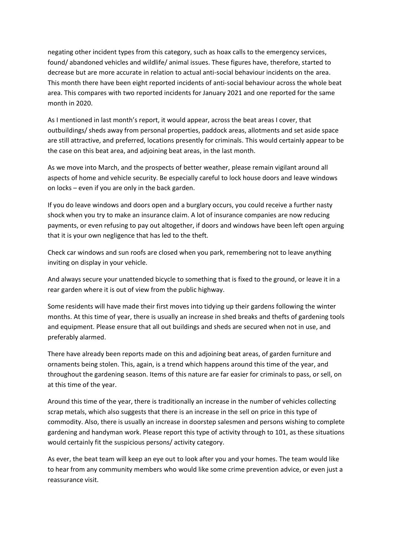negating other incident types from this category, such as hoax calls to the emergency services, found/ abandoned vehicles and wildlife/ animal issues. These figures have, therefore, started to decrease but are more accurate in relation to actual anti-social behaviour incidents on the area. This month there have been eight reported incidents of anti-social behaviour across the whole beat area. This compares with two reported incidents for January 2021 and one reported for the same month in 2020.

As I mentioned in last month's report, it would appear, across the beat areas I cover, that outbuildings/ sheds away from personal properties, paddock areas, allotments and set aside space are still attractive, and preferred, locations presently for criminals. This would certainly appear to be the case on this beat area, and adjoining beat areas, in the last month.

As we move into March, and the prospects of better weather, please remain vigilant around all aspects of home and vehicle security. Be especially careful to lock house doors and leave windows on locks – even if you are only in the back garden.

If you do leave windows and doors open and a burglary occurs, you could receive a further nasty shock when you try to make an insurance claim. A lot of insurance companies are now reducing payments, or even refusing to pay out altogether, if doors and windows have been left open arguing that it is your own negligence that has led to the theft.

Check car windows and sun roofs are closed when you park, remembering not to leave anything inviting on display in your vehicle.

And always secure your unattended bicycle to something that is fixed to the ground, or leave it in a rear garden where it is out of view from the public highway.

Some residents will have made their first moves into tidying up their gardens following the winter months. At this time of year, there is usually an increase in shed breaks and thefts of gardening tools and equipment. Please ensure that all out buildings and sheds are secured when not in use, and preferably alarmed.

There have already been reports made on this and adjoining beat areas, of garden furniture and ornaments being stolen. This, again, is a trend which happens around this time of the year, and throughout the gardening season. Items of this nature are far easier for criminals to pass, or sell, on at this time of the year.

Around this time of the year, there is traditionally an increase in the number of vehicles collecting scrap metals, which also suggests that there is an increase in the sell on price in this type of commodity. Also, there is usually an increase in doorstep salesmen and persons wishing to complete gardening and handyman work. Please report this type of activity through to 101, as these situations would certainly fit the suspicious persons/ activity category.

As ever, the beat team will keep an eye out to look after you and your homes. The team would like to hear from any community members who would like some crime prevention advice, or even just a reassurance visit.